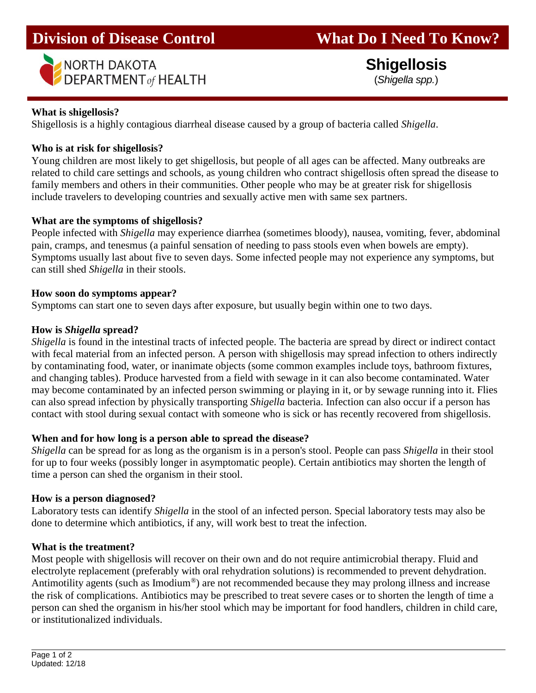

 **Shigellosis** (*Shigella spp.*)

#### **What is shigellosis?**

Shigellosis is a highly contagious diarrheal disease caused by a group of bacteria called *Shigella*.

## **Who is at risk for shigellosis?**

Young children are most likely to get shigellosis, but people of all ages can be affected. Many outbreaks are related to child care settings and schools, as young children who contract shigellosis often spread the disease to family members and others in their communities. Other people who may be at greater risk for shigellosis include travelers to developing countries and sexually active men with same sex partners.

## **What are the symptoms of shigellosis?**

People infected with *Shigella* may experience diarrhea (sometimes bloody), nausea, vomiting, fever, abdominal pain, cramps, and tenesmus (a painful sensation of needing to pass stools even when bowels are empty). Symptoms usually last about five to seven days. Some infected people may not experience any symptoms, but can still shed *Shigella* in their stools.

## **How soon do symptoms appear?**

Symptoms can start one to seven days after exposure, but usually begin within one to two days.

## **How is** *Shigella* **spread?**

*Shigella* is found in the intestinal tracts of infected people. The bacteria are spread by direct or indirect contact with fecal material from an infected person. A person with shigellosis may spread infection to others indirectly by contaminating food, water, or inanimate objects (some common examples include toys, bathroom fixtures, and changing tables). Produce harvested from a field with sewage in it can also become contaminated. Water may become contaminated by an infected person swimming or playing in it, or by sewage running into it. Flies can also spread infection by physically transporting *Shigella* bacteria. Infection can also occur if a person has contact with stool during sexual contact with someone who is sick or has recently recovered from shigellosis.

## **When and for how long is a person able to spread the disease?**

*Shigella* can be spread for as long as the organism is in a person's stool. People can pass *Shigella* in their stool for up to four weeks (possibly longer in asymptomatic people). Certain antibiotics may shorten the length of time a person can shed the organism in their stool.

## **How is a person diagnosed?**

Laboratory tests can identify *Shigella* in the stool of an infected person. Special laboratory tests may also be done to determine which antibiotics, if any, will work best to treat the infection.

#### **What is the treatment?**

Most people with shigellosis will recover on their own and do not require antimicrobial therapy. Fluid and electrolyte replacement (preferably with oral rehydration solutions) is recommended to prevent dehydration. Antimotility agents (such as Imodium®) are not recommended because they may prolong illness and increase the risk of complications. Antibiotics may be prescribed to treat severe cases or to shorten the length of time a person can shed the organism in his/her stool which may be important for food handlers, children in child care, or institutionalized individuals.